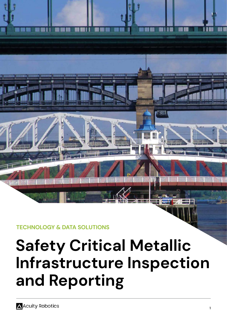

**TECHNOLOGY & DATA SOLUTIONS**

# **Safety Critical Metallic Infrastructure Inspection and Reporting**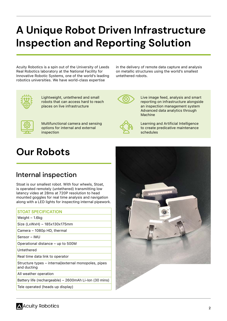# **A Unique Robot Driven Infrastructure Inspection and Reporting Solution**

Acuity Robotics is a spin out of the University of Leeds Real Robotics laboratory at the National Facility for Innovative Robotic Systems, one of the world's leading robotics universities. We have world-class expertise

in the delivery of remote data capture and analysis on metallic structures using the world's smallest untethered robots.



Lightweight, untethered and small robots that can access hard to reach places on live infrastructure



Live image feed, analysis and smart reporting on infrastructure alongside an inspection management system Advanced data analytics through Machine



Multifunctional camera and sensing options for internal and external inspection



Learning and Artificial Intelligence to create predicative maintenance schedules

## **Our Robots**

### Internal inspection

Stoat is our smallest robot. With four wheels, Stoat, is operated remotely (untethered) transmitting low latency video at 28ms at 720P resolution to head mounted goggles for real time analysis and navigation along with a LED lights for inspecting internal pipework.

### **STOAT SPECIFICATION**

Weight – 1.6kg

Size (LxWxH) – 185x130x175mm

Camera – 1080p HD, thermal

Sensor – IMU

Operational distance – up to 500M

Untethered

Real time data link to operator

Structure types – internal/external monopoles, pipes and ducting

All weather operation

Battery life (rechargeable) – 2600mAh Li-Ion (30 mins)

Tele operated (heads up display)

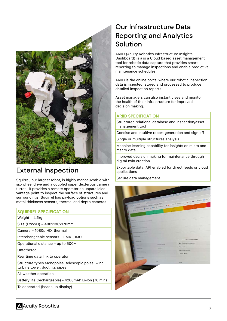

### External Inspection

Squirrel, our largest robot, is highly manoeuvrable with six-wheel drive and a coupled super dexterous camera turret. It provides a remote operator an unparalleled vantage point to inspect the surface of structures and surroundings. Squirrel has payload options such as metal thickness sensors, thermal and depth cameras.

### **SQUIRREL SPECIFICATION**

Weight – 4.1kg

Size (LxWxH) – 400x180x170mm

Camera – 1080p HD, thermal

Interchangeable sensors – EMAT, IMU

Operational distance – up to 500M

Untethered

Real time data link to operator

Structure types Monopoles, telescopic poles, wind turbine tower, ducting, pipes

All weather operation

Battery life (rechargeable) - 4200mAh Li-Ion (70 mins)

Teleoperated (heads up display)

### Our Infrastructure Data Reporting and Analytics Solution

ARIID (Acuity Robotics Infrastructure Insights Dashboard) is a is a Cloud based asset management tool for robotic data capture that provides smart reporting to manage inspections and enable predictive maintenance schedules.

ARIID is the online portal where our robotic inspection data is ingested, stored and processed to produce detailed inspection reports.

Asset managers can also instantly see and monitor the health of their infrastructure for improved decision making.

### **ARIID SPECIFICATION**

Structured relational database and inspection/asset management tool

Concise and intuitive report generation and sign off

Single or multiple structures analysis

Machine learning capability for insights on micro and macro data

Improved decision making for maintenance through digital twin creation

Exportable data. API enabled for direct feeds or cloud applications

Secure data management